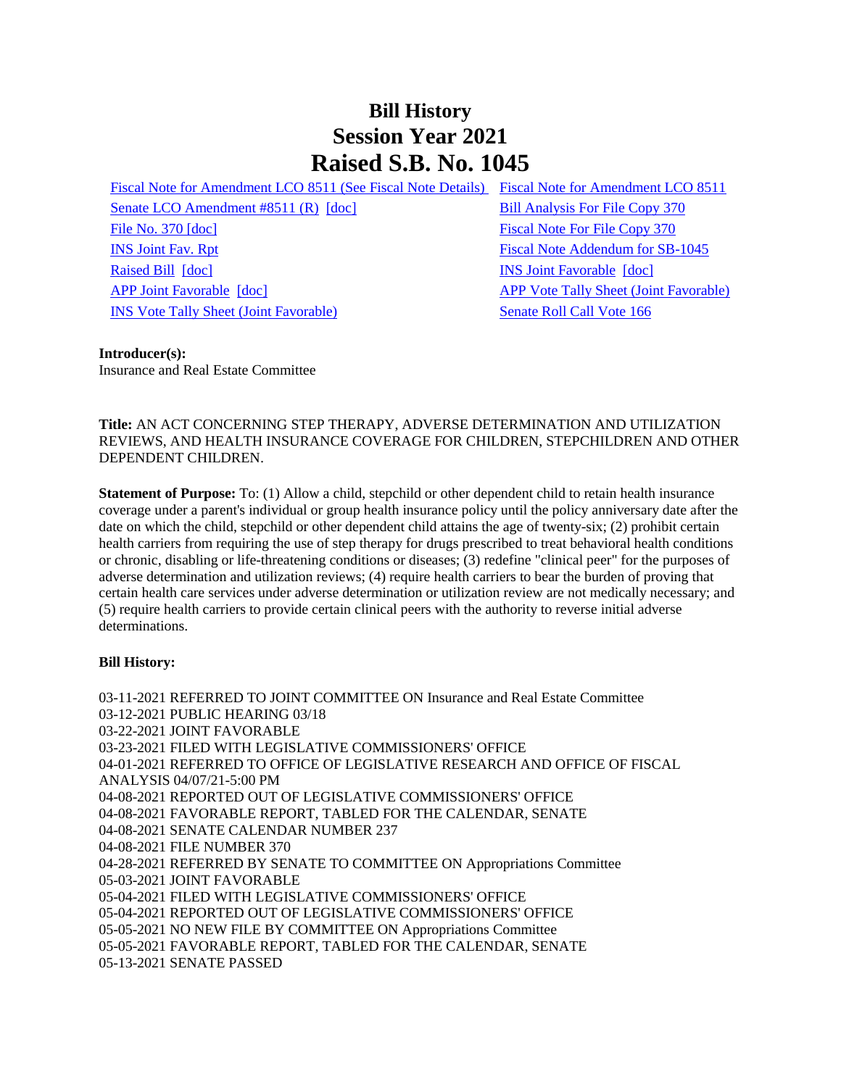# **Bill History Session Year 2021 Raised S.B. No. 1045**

[Senate LCO Amendment #8511 \(R\)](/2021/lcoamd/pdf/2021LCO08511-R00-AMD.pdf) [\[doc\]](https://search.cga.state.ct.us/dl2021/aml/doc/2021LCO08511-R00-AMD.docx) [Bill Analysis For File Copy 370](/2021/BA/PDF/2021SB-01045-R000370-BA.PDF) [File No. 370](/2021/FC/PDF/2021SB-01045-R000370-FC.PDF) [\[doc\]](/2021/FC/PDF/2021SB-01045-R000370-FC.PDF) [Fiscal Note For File Copy 370](/2021/FN/PDF/2021SB-01045-R000370-FN.PDF) [INS Joint Fav. Rpt](/2021/JFR/S/PDF/2021SB-01045-R00INS-JFR.PDF) [Fiscal Note Addendum for SB-1045](/2021/SFN/PDF/2021SB-01045-R00-ADD.PDF) [Raised Bill](/2021/TOB/S/PDF/2021SB-01045-R00-SB.PDF) [\[doc\]](https://search.cga.state.ct.us/dl2021/TOB/DOC/2021SB-01045-R01-SB.DOCX) **[INS Joint Favorable](/2021/TOB/S/PDF/2021SB-01045-R01-SB.PDF) [doc]** [APP Joint Favorable](/2021/TOB/S/PDF/2021SB-01045-R02-SB.PDF) [\[doc\]](https://search.cga.state.ct.us/dl2021/TOB/DOC/2021SB-01045-R02-SB.DOCX) [APP Vote Tally Sheet \(Joint Favorable\)](/2021/TS/S/PDF/2021SB-01045-R00APP-CV69-TS.PDF) [INS Vote Tally Sheet \(Joint Favorable\)](/2021/TS/S/PDF/2021SB-01045-R00INS-CV28-TS.PDF) Senate Roll Call Vote 166

[Fiscal Note for Amendment LCO 8511 \(See Fiscal Note Details\) Fiscal Note for Amendment LCO 8511](/2021/fna/pdf/2021SB-01045-R00LCO08511-FNA.pdf)

#### **Introducer(s):**

Insurance and Real Estate Committee

**Title:** AN ACT CONCERNING STEP THERAPY, ADVERSE DETERMINATION AND UTILIZATION REVIEWS, AND HEALTH INSURANCE COVERAGE FOR CHILDREN, STEPCHILDREN AND OTHER DEPENDENT CHILDREN.

**Statement of Purpose:** To: (1) Allow a child, stepchild or other dependent child to retain health insurance coverage under a parent's individual or group health insurance policy until the policy anniversary date after the date on which the child, stepchild or other dependent child attains the age of twenty-six; (2) prohibit certain health carriers from requiring the use of step therapy for drugs prescribed to treat behavioral health conditions or chronic, disabling or life-threatening conditions or diseases; (3) redefine "clinical peer" for the purposes of adverse determination and utilization reviews; (4) require health carriers to bear the burden of proving that certain health care services under adverse determination or utilization review are not medically necessary; and (5) require health carriers to provide certain clinical peers with the authority to reverse initial adverse determinations.

#### **Bill History:**

03-11-2021 REFERRED TO JOINT COMMITTEE ON Insurance and Real Estate Committee 03-12-2021 PUBLIC HEARING 03/18 03-22-2021 JOINT FAVORABLE 03-23-2021 FILED WITH LEGISLATIVE COMMISSIONERS' OFFICE 04-01-2021 REFERRED TO OFFICE OF LEGISLATIVE RESEARCH AND OFFICE OF FISCAL ANALYSIS 04/07/21-5:00 PM 04-08-2021 REPORTED OUT OF LEGISLATIVE COMMISSIONERS' OFFICE 04-08-2021 FAVORABLE REPORT, TABLED FOR THE CALENDAR, SENATE 04-08-2021 SENATE CALENDAR NUMBER 237 04-08-2021 FILE NUMBER 370 04-28-2021 REFERRED BY SENATE TO COMMITTEE ON Appropriations Committee 05-03-2021 JOINT FAVORABLE 05-04-2021 FILED WITH LEGISLATIVE COMMISSIONERS' OFFICE 05-04-2021 REPORTED OUT OF LEGISLATIVE COMMISSIONERS' OFFICE 05-05-2021 NO NEW FILE BY COMMITTEE ON Appropriations Committee 05-05-2021 FAVORABLE REPORT, TABLED FOR THE CALENDAR, SENATE 05-13-2021 SENATE PASSED